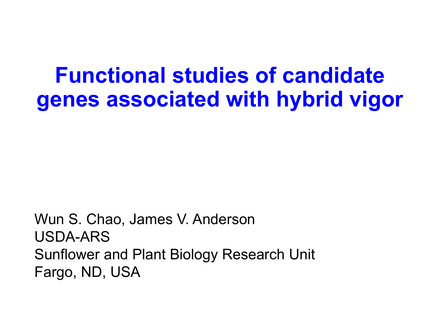### **Functional studies of candidate genes associated with hybrid vigor**

Wun S. Chao, James V. Anderson USDA-ARS Sunflower and Plant Biology Research Unit Fargo, ND, USA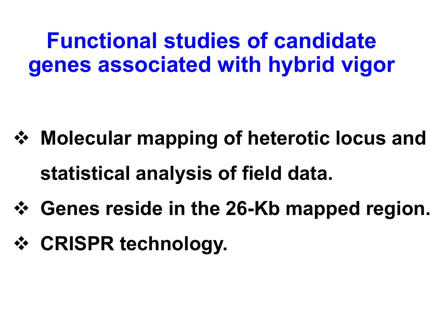**Functional studies of candidate genes associated with hybrid vigor**

- **Molecular mapping of heterotic locus and statistical analysis of field data.**
- **Genes reside in the 26-Kb mapped region.**
- **☆ CRISPR technology.**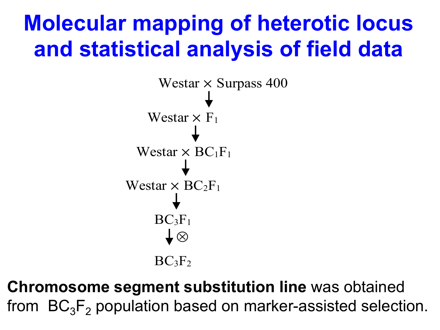## **Molecular mapping of heterotic locus and statistical analysis of field data**



**Chromosome segment substitution line** was obtained from  $\, \mathsf{BC}_3 \mathsf{F}_2 \,$  population based on marker-assisted selection.  $\mathbf{r}$ 3<br>C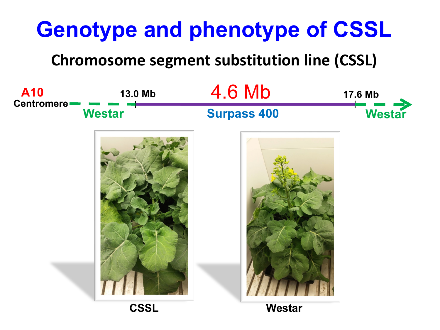# **Genotype and phenotype of CSSL**

**Chromosome segment substitution line (CSSL)**

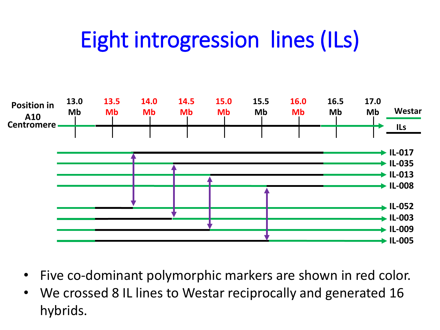# Eight introgression lines (ILs)



- Five co-dominant polymorphic markers are shown in red color.
- We crossed 8 IL lines to Westar reciprocally and generated 16 hybrids.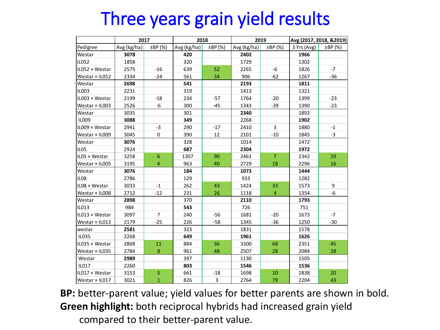### Three years grain yield results

|                  | 2017        |                | 2018        |              | 2019        |                | Avg (2017, 2018, &2019) |              |
|------------------|-------------|----------------|-------------|--------------|-------------|----------------|-------------------------|--------------|
| Pedigree         | Avg (kg/ha) | ±BP (%)        | Avg (kg/ha) | $\pm BP$ (%) | Avg (kg/ha) | $\pm BP$ (%)   | 3 Yrs (Avg)             | $\pm BP$ (%) |
| Westar           | 3078        |                | 420         |              | 2402        |                | 1966                    |              |
| <b>IL052</b>     | 1858        |                | 320         |              | 1729        |                | 1302                    |              |
| IL052 × Westar   | 2575        | $-16$          | 639         | 52           | 2265        | $-6$           | 1826                    | $-7$         |
| Westar × IL052   | 2334        | $-24$          | 561         | 34           | 906         | $-62$          | 1267                    | $-36$        |
| Westar           | 2698        |                | 541         |              | 2193        |                | 1811                    |              |
| <b>IL003</b>     | 2231        |                | 319         |              | 1413        |                | 1321                    |              |
| IL003 × Westar   | 2199        | $-18$          | 234         | $-57$        | 1764        | $-20$          | 1399                    | $-23$        |
| Westar × IL003   | 2526        | $-6$           | 300         | $-45$        | 1343        | $-39$          | 1390                    | $-23$        |
| Westar           | 3035        |                | 301         |              | 2340        |                | 1892                    |              |
| <b>IL009</b>     | 3088        |                | 349         |              | 2268        |                | 1902                    |              |
| IL009 × Westar   | 2941        | $-3$           | 290         | $-17$        | 2410        | 3              | 1880                    | $-1$         |
| Westar × IL009   | 3045        | 0              | 390         | 12           | 2101        | $-10$          | 1845                    | $-3$         |
| Westar           | 3076        |                | 328         |              | 1014        |                | 1472                    |              |
| IL <sub>05</sub> | 2924        |                | 687         |              | 2304        |                | 1972                    |              |
| IL05 × Westar    | 3258        | 6              | 1307        | 90           | 2461        | $\overline{7}$ | 2342                    | 19           |
| Westar × IL005   | 3195        | $\overline{4}$ | 963         | 40           | 2729        | 18             | 2296                    | 16           |
| Westar           | 3076        |                | 184         |              | 1073        |                | 1444                    |              |
| <b>IL08</b>      | 2786        |                | 129         |              | 933         |                | 1282                    |              |
| IL08 × Westar    | 3033        | $-1$           | 262         | 43           | 1424        | 33             | 1573                    | 9            |
| Westar × IL008   | 2712        | $-12$          | 231         | 26           | 1118        | $\overline{4}$ | 1354                    | -6           |
| Westar           | 2898        |                | 370         |              | 2110        |                | 1793                    |              |
| IL013            | 984         |                | 543         |              | 726         |                | 751                     |              |
| IL013 × Westar   | 3097        | $\overline{7}$ | 240         | $-56$        | 1681        | $-20$          | 1673                    | $-7$         |
| Westar × IL013   | 2179        | $-25$          | 226         | $-58$        | 1345        | $-36$          | 1250                    | $-30$        |
| westar           | 2581        |                | 323         |              | 1831        |                | 1578                    |              |
| <b>IL035</b>     | 2268        |                | 649         |              | 1961        |                | 1626                    |              |
| IL035 × Westar   | 2868        | 11             | 884         | 36           | 3300        | 68             | 2351                    | 45           |
| Westar × IL035   | 2784        | $\bf 8$        | 961         | 48           | 2507        | 28             | 2084                    | 28           |
| Westar           | 2989        |                | 397         |              | 1130        |                | 1505                    |              |
| <b>IL017</b>     | 2260        |                | 803         |              | 1546        |                | 1536                    |              |
| IL017 × Westar   | 3153        | 5              | 661         | $-18$        | 1698        | 10             | 1838                    | 20           |
| Westar × IL017   | 3021        | $\mathbf 1$    | 826         | 3            | 2764        | 79             | 2204                    | 43           |

**BP:** better-parent value; yield values for better parents are shown in bold. **Green highlight:** both reciprocal hybrids had increased grain yield compared to their better-parent value.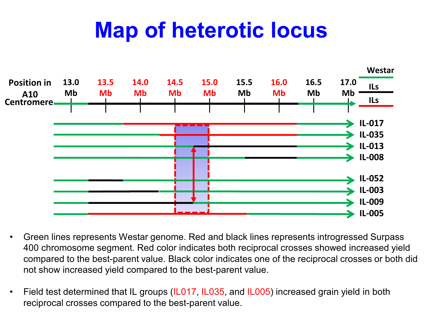## **Map of heterotic locus**



- Green lines represents Westar genome. Red and black lines represents introgressed Surpass 400 chromosome segment. Red color indicates both reciprocal crosses showed increased yield compared to the best-parent value. Black color indicates one of the reciprocal crosses or both did not show increased yield compared to the best-parent value.
- Field test determined that IL groups (IL017, IL035, and IL005) increased grain yield in both reciprocal crosses compared to the best-parent value.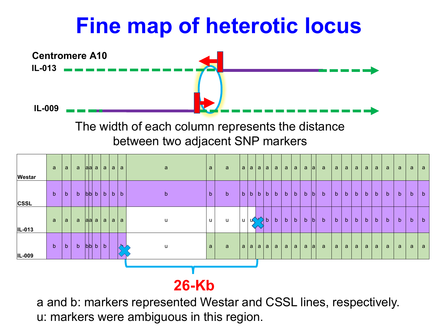## **Fine map of heterotic locus**



The width of each column represents the distance between two adjacent SNP markers



#### **26-Kb**

a and b: markers represented Westar and CSSL lines, respectively. u: markers were ambiguous in this region.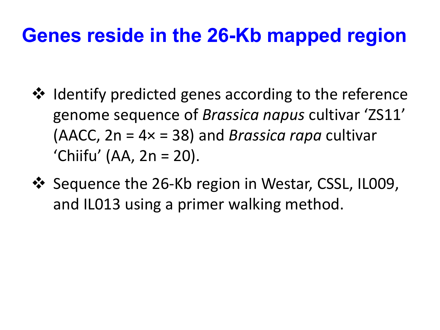### **Genes reside in the 26-Kb mapped region**

- ❖ Identify predicted genes according to the reference genome sequence of *Brassica napus* cultivar 'ZS11' (AACC, 2n = 4× = 38) and *Brassica rapa* cultivar 'Chiifu' (AA, 2n = 20).
- $\cdot$  Sequence the 26-Kb region in Westar, CSSL, IL009, and IL013 using a primer walking method.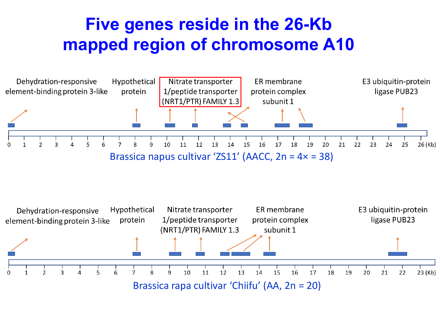#### **Five genes reside in the 26-Kb mapped region of chromosome A10**



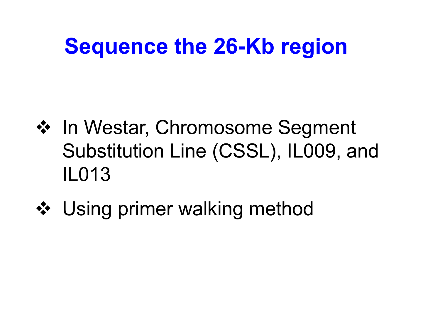## **Sequence the 26-Kb region**

- ❖ In Westar, Chromosome Segment Substitution Line (CSSL), IL009, and IL013
- **❖** Using primer walking method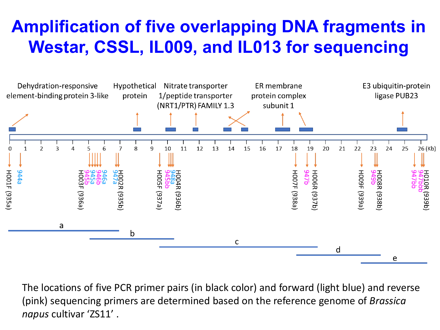#### **Amplification of five overlapping DNA fragments in Westar, CSSL, IL009, and IL013 for sequencing**



The locations of five PCR primer pairs (in black color) and forward (light blue) and reverse (pink) sequencing primers are determined based on the reference genome of *Brassica napus* cultivar 'ZS11' .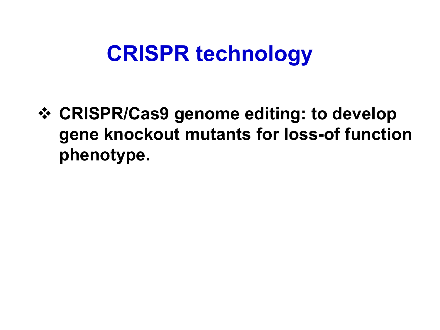## **CRISPR technology**

 **CRISPR/Cas9 genome editing: to develop gene knockout mutants for loss-of function phenotype.**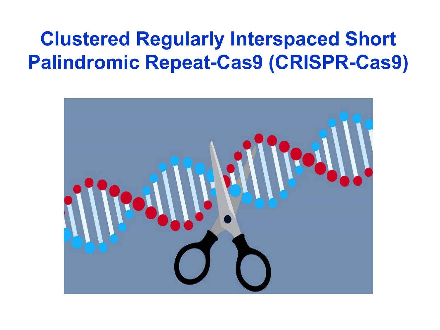### **Clustered Regularly Interspaced Short Palindromic Repeat-Cas9 (CRISPR-Cas9)**

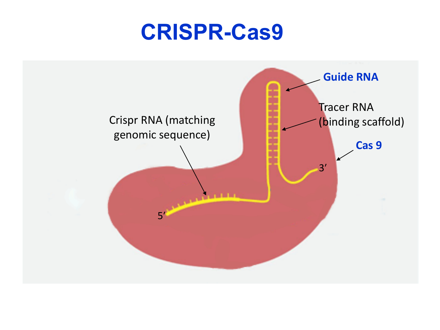### **CRISPR-Cas9**

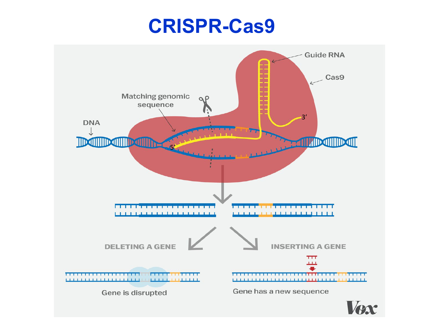### **CRISPR-Cas9**